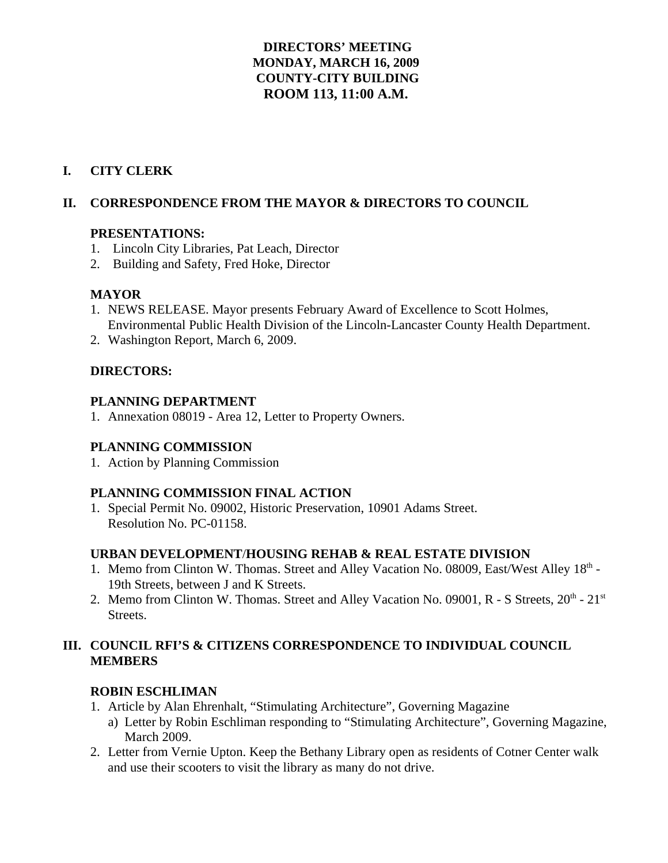# **DIRECTORS' MEETING MONDAY, MARCH 16, 2009 COUNTY-CITY BUILDING ROOM 113, 11:00 A.M.**

# **I. CITY CLERK**

# **II. CORRESPONDENCE FROM THE MAYOR & DIRECTORS TO COUNCIL**

### **PRESENTATIONS:**

- 1. Lincoln City Libraries, Pat Leach, Director
- 2. Building and Safety, Fred Hoke, Director

### **MAYOR**

- 1. NEWS RELEASE. Mayor presents February Award of Excellence to Scott Holmes, Environmental Public Health Division of the Lincoln-Lancaster County Health Department.
- 2. Washington Report, March 6, 2009.

### **DIRECTORS:**

### **PLANNING DEPARTMENT**

1. Annexation 08019 - Area 12, Letter to Property Owners.

### **PLANNING COMMISSION**

1. Action by Planning Commission

### **PLANNING COMMISSION FINAL ACTION**

1. Special Permit No. 09002, Historic Preservation, 10901 Adams Street. Resolution No. PC-01158.

### **URBAN DEVELOPMENT**/**HOUSING REHAB & REAL ESTATE DIVISION**

- 1. Memo from Clinton W. Thomas. Street and Alley Vacation No. 08009, East/West Alley 18<sup>th</sup> -19th Streets, between J and K Streets.
- 2. Memo from Clinton W. Thomas. Street and Alley Vacation No. 09001, R S Streets,  $20^{th}$   $21^{st}$ Streets.

### **III. COUNCIL RFI'S & CITIZENS CORRESPONDENCE TO INDIVIDUAL COUNCIL MEMBERS**

### **ROBIN ESCHLIMAN**

- 1. Article by Alan Ehrenhalt, "Stimulating Architecture", Governing Magazine
	- a) Letter by Robin Eschliman responding to "Stimulating Architecture", Governing Magazine, March 2009.
- 2. Letter from Vernie Upton. Keep the Bethany Library open as residents of Cotner Center walk and use their scooters to visit the library as many do not drive.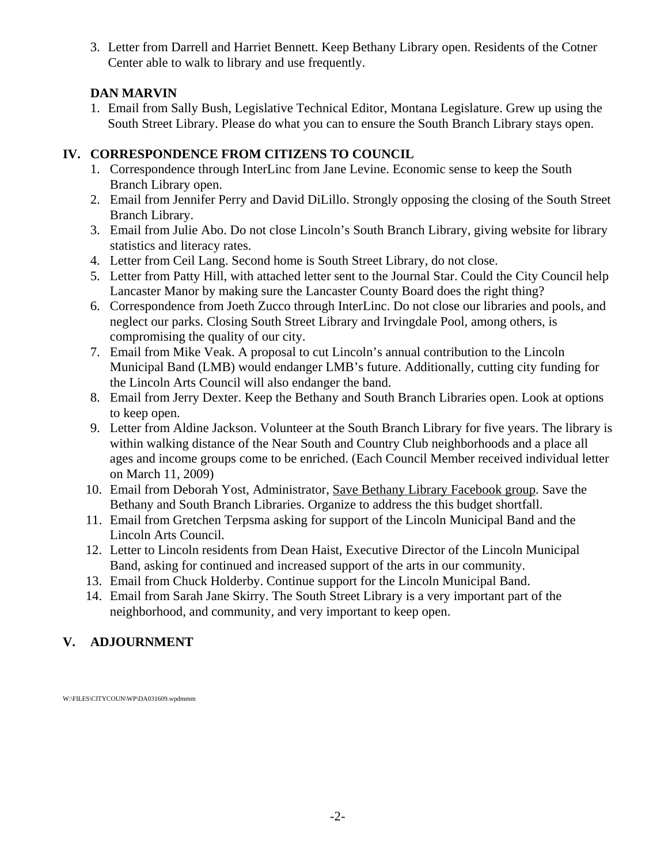3. Letter from Darrell and Harriet Bennett. Keep Bethany Library open. Residents of the Cotner Center able to walk to library and use frequently.

# **DAN MARVIN**

1. Email from Sally Bush, Legislative Technical Editor, Montana Legislature. Grew up using the South Street Library. Please do what you can to ensure the South Branch Library stays open.

# **IV. CORRESPONDENCE FROM CITIZENS TO COUNCIL**

- 1. Correspondence through InterLinc from Jane Levine. Economic sense to keep the South Branch Library open.
- 2. Email from Jennifer Perry and David DiLillo. Strongly opposing the closing of the South Street Branch Library.
- 3. Email from Julie Abo. Do not close Lincoln's South Branch Library, giving website for library statistics and literacy rates.
- 4. Letter from Ceil Lang. Second home is South Street Library, do not close.
- 5. Letter from Patty Hill, with attached letter sent to the Journal Star. Could the City Council help Lancaster Manor by making sure the Lancaster County Board does the right thing?
- 6. Correspondence from Joeth Zucco through InterLinc. Do not close our libraries and pools, and neglect our parks. Closing South Street Library and Irvingdale Pool, among others, is compromising the quality of our city.
- 7. Email from Mike Veak. A proposal to cut Lincoln's annual contribution to the Lincoln Municipal Band (LMB) would endanger LMB's future. Additionally, cutting city funding for the Lincoln Arts Council will also endanger the band.
- 8. Email from Jerry Dexter. Keep the Bethany and South Branch Libraries open. Look at options to keep open.
- 9. Letter from Aldine Jackson. Volunteer at the South Branch Library for five years. The library is within walking distance of the Near South and Country Club neighborhoods and a place all ages and income groups come to be enriched. (Each Council Member received individual letter on March 11, 2009)
- 10. Email from Deborah Yost, Administrator, Save Bethany Library Facebook group. Save the Bethany and South Branch Libraries. Organize to address the this budget shortfall.
- 11. Email from Gretchen Terpsma asking for support of the Lincoln Municipal Band and the Lincoln Arts Council.
- 12. Letter to Lincoln residents from Dean Haist, Executive Director of the Lincoln Municipal Band, asking for continued and increased support of the arts in our community.
- 13. Email from Chuck Holderby. Continue support for the Lincoln Municipal Band.
- 14. Email from Sarah Jane Skirry. The South Street Library is a very important part of the neighborhood, and community, and very important to keep open.

# **V. ADJOURNMENT**

W:\FILES\CITYCOUN\WP\DA031609.wpdmmm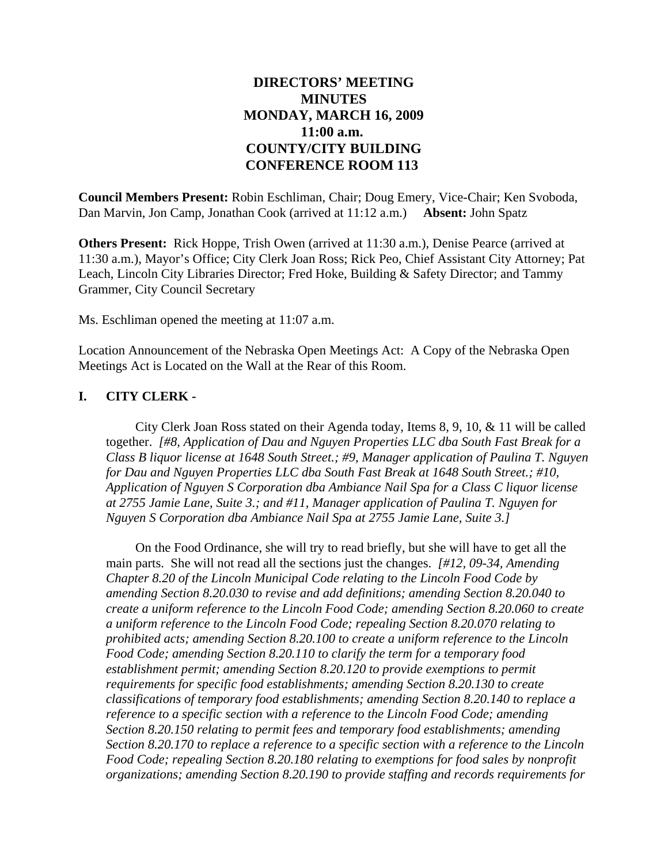# **DIRECTORS' MEETING MINUTES MONDAY, MARCH 16, 2009 11:00 a.m. COUNTY/CITY BUILDING CONFERENCE ROOM 113**

**Council Members Present:** Robin Eschliman, Chair; Doug Emery, Vice-Chair; Ken Svoboda, Dan Marvin, Jon Camp, Jonathan Cook (arrived at 11:12 a.m.) **Absent:** John Spatz

**Others Present:** Rick Hoppe, Trish Owen (arrived at 11:30 a.m.), Denise Pearce (arrived at 11:30 a.m.), Mayor's Office; City Clerk Joan Ross; Rick Peo, Chief Assistant City Attorney; Pat Leach, Lincoln City Libraries Director; Fred Hoke, Building & Safety Director; and Tammy Grammer, City Council Secretary

Ms. Eschliman opened the meeting at 11:07 a.m.

Location Announcement of the Nebraska Open Meetings Act: A Copy of the Nebraska Open Meetings Act is Located on the Wall at the Rear of this Room.

## **I. CITY CLERK -**

City Clerk Joan Ross stated on their Agenda today, Items 8, 9, 10, & 11 will be called together. *[#8, Application of Dau and Nguyen Properties LLC dba South Fast Break for a Class B liquor license at 1648 South Street.; #9, Manager application of Paulina T. Nguyen for Dau and Nguyen Properties LLC dba South Fast Break at 1648 South Street.; #10, Application of Nguyen S Corporation dba Ambiance Nail Spa for a Class C liquor license at 2755 Jamie Lane, Suite 3.; and #11, Manager application of Paulina T. Nguyen for Nguyen S Corporation dba Ambiance Nail Spa at 2755 Jamie Lane, Suite 3.]*

On the Food Ordinance, she will try to read briefly, but she will have to get all the main parts. She will not read all the sections just the changes. *[#12, 09-34, Amending Chapter 8.20 of the Lincoln Municipal Code relating to the Lincoln Food Code by amending Section 8.20.030 to revise and add definitions; amending Section 8.20.040 to create a uniform reference to the Lincoln Food Code; amending Section 8.20.060 to create a uniform reference to the Lincoln Food Code; repealing Section 8.20.070 relating to prohibited acts; amending Section 8.20.100 to create a uniform reference to the Lincoln Food Code; amending Section 8.20.110 to clarify the term for a temporary food establishment permit; amending Section 8.20.120 to provide exemptions to permit requirements for specific food establishments; amending Section 8.20.130 to create classifications of temporary food establishments; amending Section 8.20.140 to replace a reference to a specific section with a reference to the Lincoln Food Code; amending Section 8.20.150 relating to permit fees and temporary food establishments; amending Section 8.20.170 to replace a reference to a specific section with a reference to the Lincoln Food Code; repealing Section 8.20.180 relating to exemptions for food sales by nonprofit organizations; amending Section 8.20.190 to provide staffing and records requirements for*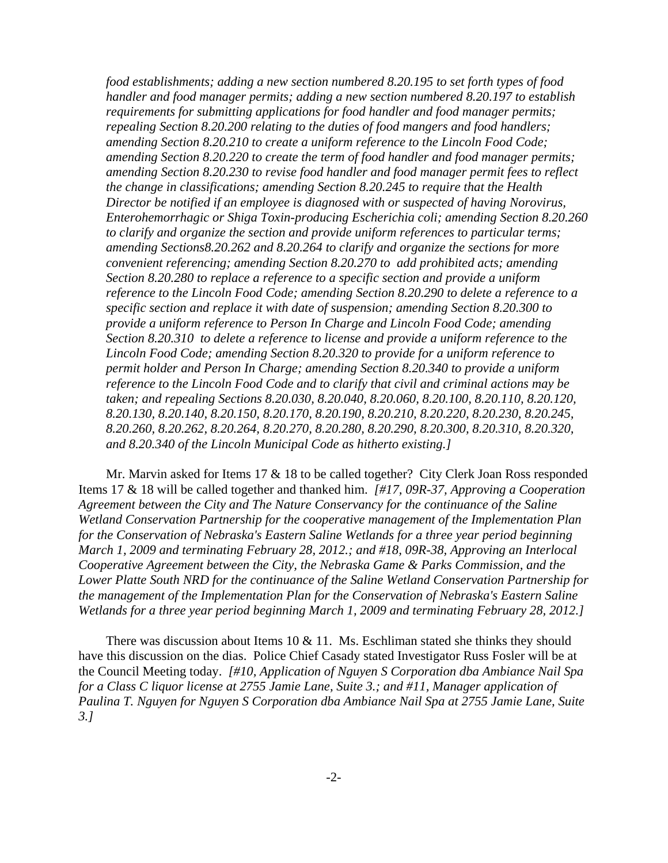*food establishments; adding a new section numbered 8.20.195 to set forth types of food handler and food manager permits; adding a new section numbered 8.20.197 to establish requirements for submitting applications for food handler and food manager permits; repealing Section 8.20.200 relating to the duties of food mangers and food handlers; amending Section 8.20.210 to create a uniform reference to the Lincoln Food Code; amending Section 8.20.220 to create the term of food handler and food manager permits; amending Section 8.20.230 to revise food handler and food manager permit fees to reflect the change in classifications; amending Section 8.20.245 to require that the Health Director be notified if an employee is diagnosed with or suspected of having Norovirus, Enterohemorrhagic or Shiga Toxin-producing Escherichia coli; amending Section 8.20.260 to clarify and organize the section and provide uniform references to particular terms; amending Sections8.20.262 and 8.20.264 to clarify and organize the sections for more convenient referencing; amending Section 8.20.270 to add prohibited acts; amending Section 8.20.280 to replace a reference to a specific section and provide a uniform reference to the Lincoln Food Code; amending Section 8.20.290 to delete a reference to a specific section and replace it with date of suspension; amending Section 8.20.300 to provide a uniform reference to Person In Charge and Lincoln Food Code; amending Section 8.20.310 to delete a reference to license and provide a uniform reference to the Lincoln Food Code; amending Section 8.20.320 to provide for a uniform reference to permit holder and Person In Charge; amending Section 8.20.340 to provide a uniform reference to the Lincoln Food Code and to clarify that civil and criminal actions may be taken; and repealing Sections 8.20.030, 8.20.040, 8.20.060, 8.20.100, 8.20.110, 8.20.120, 8.20.130, 8.20.140, 8.20.150, 8.20.170, 8.20.190, 8.20.210, 8.20.220, 8.20.230, 8.20.245, 8.20.260, 8.20.262, 8.20.264, 8.20.270, 8.20.280, 8.20.290, 8.20.300, 8.20.310, 8.20.320, and 8.20.340 of the Lincoln Municipal Code as hitherto existing.]*

Mr. Marvin asked for Items 17 & 18 to be called together? City Clerk Joan Ross responded Items 17 & 18 will be called together and thanked him. *[#17, 09R-37, Approving a Cooperation Agreement between the City and The Nature Conservancy for the continuance of the Saline Wetland Conservation Partnership for the cooperative management of the Implementation Plan for the Conservation of Nebraska's Eastern Saline Wetlands for a three year period beginning March 1, 2009 and terminating February 28, 2012.; and #18, 09R-38, Approving an Interlocal Cooperative Agreement between the City, the Nebraska Game & Parks Commission, and the Lower Platte South NRD for the continuance of the Saline Wetland Conservation Partnership for the management of the Implementation Plan for the Conservation of Nebraska's Eastern Saline Wetlands for a three year period beginning March 1, 2009 and terminating February 28, 2012.]*

There was discussion about Items 10 & 11. Ms. Eschliman stated she thinks they should have this discussion on the dias. Police Chief Casady stated Investigator Russ Fosler will be at the Council Meeting today. *[#10, Application of Nguyen S Corporation dba Ambiance Nail Spa for a Class C liquor license at 2755 Jamie Lane, Suite 3.; and #11, Manager application of Paulina T. Nguyen for Nguyen S Corporation dba Ambiance Nail Spa at 2755 Jamie Lane, Suite 3.]*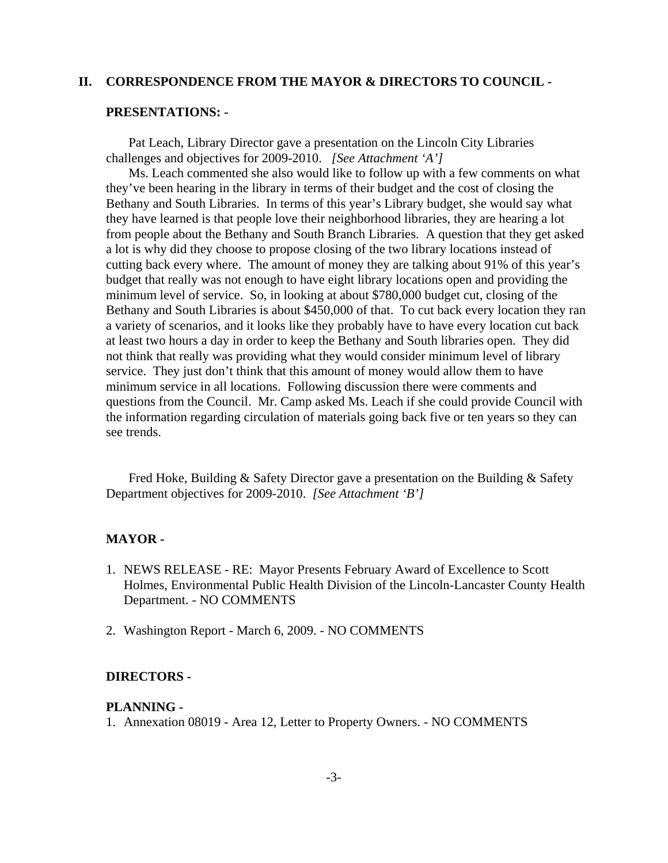#### **II. CORRESPONDENCE FROM THE MAYOR & DIRECTORS TO COUNCIL -**

#### **PRESENTATIONS: -**

Pat Leach, Library Director gave a presentation on the Lincoln City Libraries challenges and objectives for 2009-2010. *[See Attachment 'A']* 

Ms. Leach commented she also would like to follow up with a few comments on what they've been hearing in the library in terms of their budget and the cost of closing the Bethany and South Libraries. In terms of this year's Library budget, she would say what they have learned is that people love their neighborhood libraries, they are hearing a lot from people about the Bethany and South Branch Libraries. A question that they get asked a lot is why did they choose to propose closing of the two library locations instead of cutting back every where. The amount of money they are talking about 91% of this year's budget that really was not enough to have eight library locations open and providing the minimum level of service. So, in looking at about \$780,000 budget cut, closing of the Bethany and South Libraries is about \$450,000 of that. To cut back every location they ran a variety of scenarios, and it looks like they probably have to have every location cut back at least two hours a day in order to keep the Bethany and South libraries open. They did not think that really was providing what they would consider minimum level of library service. They just don't think that this amount of money would allow them to have minimum service in all locations. Following discussion there were comments and questions from the Council. Mr. Camp asked Ms. Leach if she could provide Council with the information regarding circulation of materials going back five or ten years so they can see trends.

Fred Hoke, Building & Safety Director gave a presentation on the Building & Safety Department objectives for 2009-2010. *[See Attachment 'B']* 

### **MAYOR -**

- 1. NEWS RELEASE RE: Mayor Presents February Award of Excellence to Scott Holmes, Environmental Public Health Division of the Lincoln-Lancaster County Health Department. - NO COMMENTS
- 2. Washington Report March 6, 2009. NO COMMENTS

#### **DIRECTORS -**

#### **PLANNING -**

1. Annexation 08019 - Area 12, Letter to Property Owners. - NO COMMENTS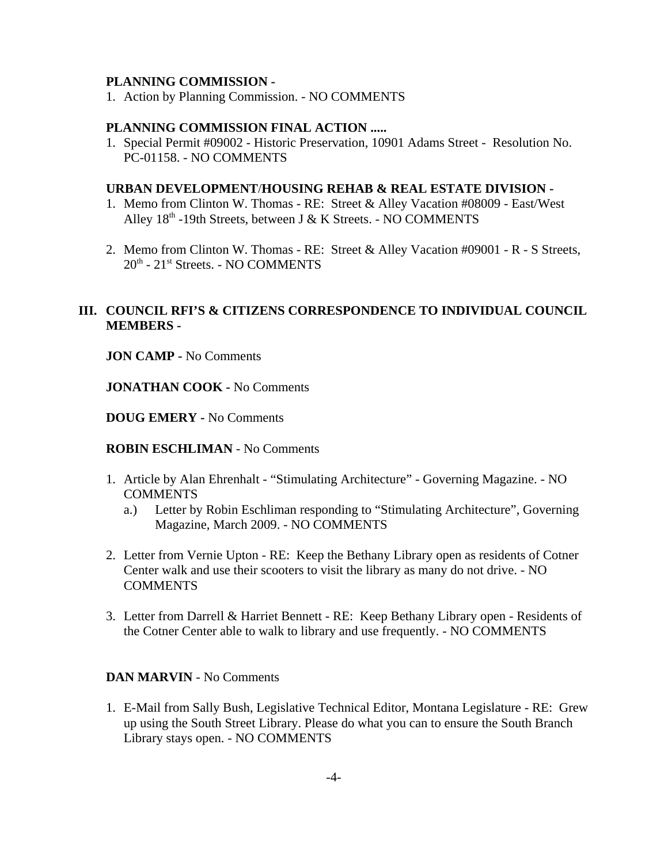#### **PLANNING COMMISSION -**

1. Action by Planning Commission. - NO COMMENTS

#### **PLANNING COMMISSION FINAL ACTION .....**

1. Special Permit #09002 - Historic Preservation, 10901 Adams Street - Resolution No. PC-01158. - NO COMMENTS

#### **URBAN DEVELOPMENT**/**HOUSING REHAB & REAL ESTATE DIVISION -**

- 1. Memo from Clinton W. Thomas RE: Street & Alley Vacation #08009 East/West Alley 18th -19th Streets, between J & K Streets. - NO COMMENTS
- 2. Memo from Clinton W. Thomas RE: Street & Alley Vacation #09001 R S Streets, 20th - 21st Streets. - NO COMMENTS

### **III. COUNCIL RFI'S & CITIZENS CORRESPONDENCE TO INDIVIDUAL COUNCIL MEMBERS -**

**JON CAMP -** No Comments

**JONATHAN COOK -** No Comments

**DOUG EMERY -** No Comments

**ROBIN ESCHLIMAN** - No Comments

- 1. Article by Alan Ehrenhalt "Stimulating Architecture" Governing Magazine. NO **COMMENTS** 
	- a.) Letter by Robin Eschliman responding to "Stimulating Architecture", Governing Magazine, March 2009. - NO COMMENTS
- 2. Letter from Vernie Upton RE: Keep the Bethany Library open as residents of Cotner Center walk and use their scooters to visit the library as many do not drive. - NO **COMMENTS**
- 3. Letter from Darrell & Harriet Bennett RE: Keep Bethany Library open Residents of the Cotner Center able to walk to library and use frequently. - NO COMMENTS

### **DAN MARVIN** - No Comments

1. E-Mail from Sally Bush, Legislative Technical Editor, Montana Legislature - RE: Grew up using the South Street Library. Please do what you can to ensure the South Branch Library stays open. - NO COMMENTS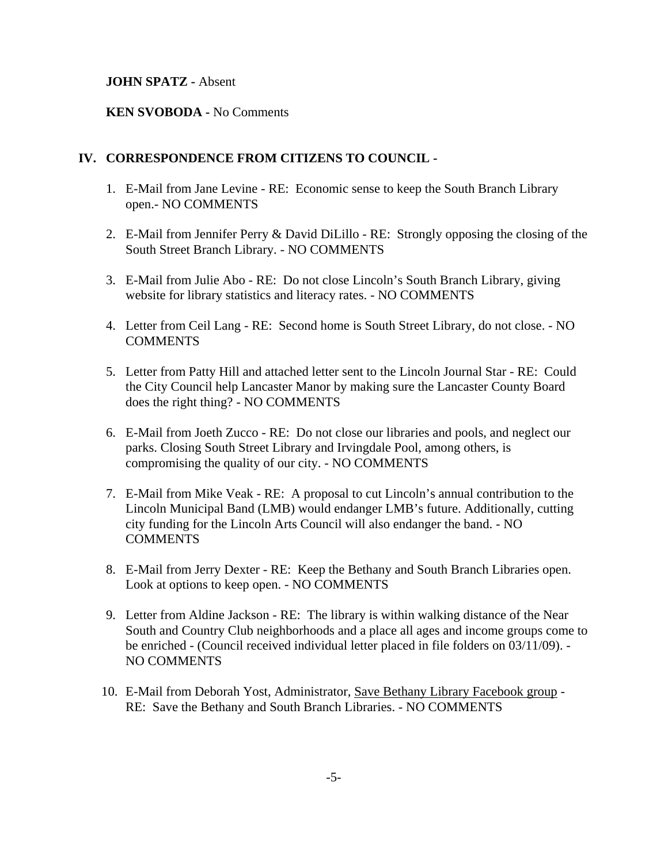### **JOHN SPATZ -** Absent

### **KEN SVOBODA -** No Comments

### **IV. CORRESPONDENCE FROM CITIZENS TO COUNCIL -**

- 1. E-Mail from Jane Levine RE: Economic sense to keep the South Branch Library open.- NO COMMENTS
- 2. E-Mail from Jennifer Perry & David DiLillo RE: Strongly opposing the closing of the South Street Branch Library. - NO COMMENTS
- 3. E-Mail from Julie Abo RE: Do not close Lincoln's South Branch Library, giving website for library statistics and literacy rates. - NO COMMENTS
- 4. Letter from Ceil Lang RE: Second home is South Street Library, do not close. NO **COMMENTS**
- 5. Letter from Patty Hill and attached letter sent to the Lincoln Journal Star RE: Could the City Council help Lancaster Manor by making sure the Lancaster County Board does the right thing? - NO COMMENTS
- 6. E-Mail from Joeth Zucco RE: Do not close our libraries and pools, and neglect our parks. Closing South Street Library and Irvingdale Pool, among others, is compromising the quality of our city. - NO COMMENTS
- 7. E-Mail from Mike Veak RE: A proposal to cut Lincoln's annual contribution to the Lincoln Municipal Band (LMB) would endanger LMB's future. Additionally, cutting city funding for the Lincoln Arts Council will also endanger the band. - NO **COMMENTS**
- 8. E-Mail from Jerry Dexter RE: Keep the Bethany and South Branch Libraries open. Look at options to keep open. - NO COMMENTS
- 9. Letter from Aldine Jackson RE: The library is within walking distance of the Near South and Country Club neighborhoods and a place all ages and income groups come to be enriched - (Council received individual letter placed in file folders on 03/11/09). - NO COMMENTS
- 10. E-Mail from Deborah Yost, Administrator, Save Bethany Library Facebook group RE: Save the Bethany and South Branch Libraries. - NO COMMENTS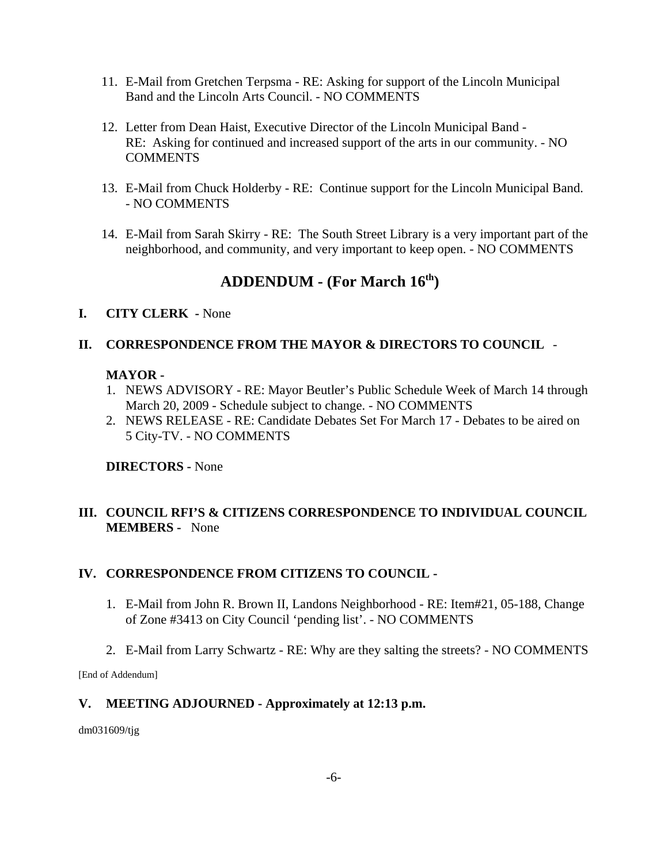- 11. E-Mail from Gretchen Terpsma RE: Asking for support of the Lincoln Municipal Band and the Lincoln Arts Council. - NO COMMENTS
- 12. Letter from Dean Haist, Executive Director of the Lincoln Municipal Band RE: Asking for continued and increased support of the arts in our community. - NO **COMMENTS**
- 13. E-Mail from Chuck Holderby RE: Continue support for the Lincoln Municipal Band. - NO COMMENTS
- 14. E-Mail from Sarah Skirry RE: The South Street Library is a very important part of the neighborhood, and community, and very important to keep open. - NO COMMENTS

# **ADDENDUM - (For March 16th)**

### **I. CITY CLERK -** None

### **II. CORRESPONDENCE FROM THE MAYOR & DIRECTORS TO COUNCIL** -

### **MAYOR -**

- 1. NEWS ADVISORY RE: Mayor Beutler's Public Schedule Week of March 14 through March 20, 2009 - Schedule subject to change. - NO COMMENTS
- 2. NEWS RELEASE RE: Candidate Debates Set For March 17 Debates to be aired on 5 City-TV. - NO COMMENTS

### **DIRECTORS -** None

## **III. COUNCIL RFI'S & CITIZENS CORRESPONDENCE TO INDIVIDUAL COUNCIL MEMBERS -** None

### **IV. CORRESPONDENCE FROM CITIZENS TO COUNCIL -**

- 1. E-Mail from John R. Brown II, Landons Neighborhood RE: Item#21, 05-188, Change of Zone #3413 on City Council 'pending list'. - NO COMMENTS
- 2. E-Mail from Larry Schwartz RE: Why are they salting the streets? NO COMMENTS

[End of Addendum]

### **V. MEETING ADJOURNED - Approximately at 12:13 p.m.**

dm031609/tjg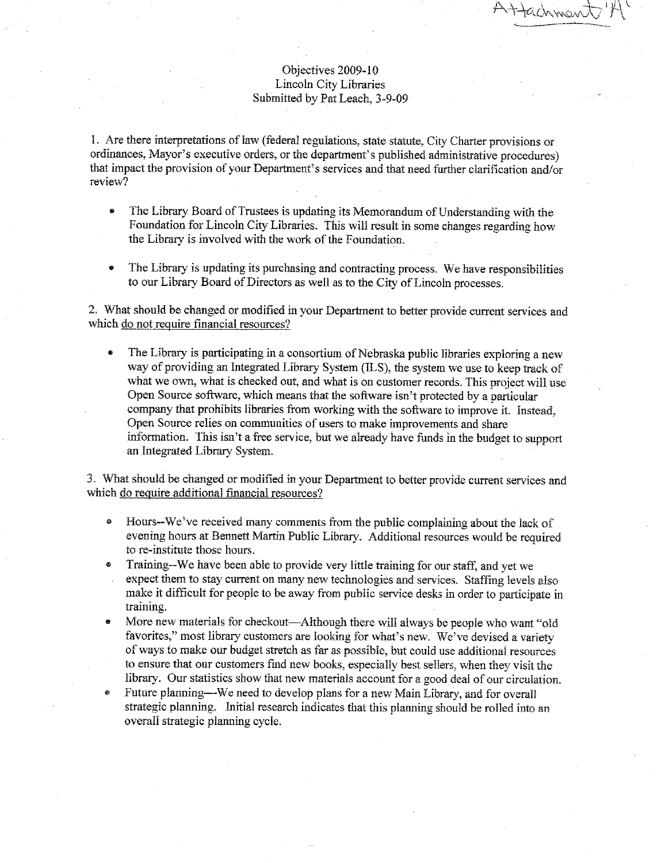#### Objectives 2009-10 Lincoln City Libraries Submitted by Pat Leach, 3-9-09

Hachman

1. Are there interpretations of law (federal regulations, state statute, City Charter provisions or ordinances. Mayor's executive orders, or the department's published administrative procedures) that impact the provision of your Department's services and that need further clarification and/or review?

- The Library Board of Trustees is updating its Memorandum of Understanding with the  $\bullet$ Foundation for Lincoln City Libraries. This will result in some changes regarding how the Library is involved with the work of the Foundation.
- The Library is updating its purchasing and contracting process. We have responsibilities to our Library Board of Directors as well as to the City of Lincoln processes.

2. What should be changed or modified in your Department to better provide current services and which do not require financial resources?

The Library is participating in a consortium of Nebraska public libraries exploring a new way of providing an Integrated Library System (ILS), the system we use to keep track of what we own, what is checked out, and what is on customer records. This project will use Open Source software, which means that the software isn't protected by a particular company that prohibits libraries from working with the software to improve it. Instead, Open Source relies on communities of users to make improvements and share information. This isn't a free service, but we already have funds in the budget to support an Integrated Library System.

3. What should be changed or modified in your Department to better provide current services and which do require additional financial resources?

- Hours--We've received many comments from the public complaining about the lack of evening hours at Bennett Martin Public Library. Additional resources would be required to re-institute those hours.
- Training--We have been able to provide very little training for our staff, and yet we expect them to stay current on many new technologies and services. Staffing levels also make it difficult for people to be away from public service desks in order to participate in training.
- More new materials for checkout—Although there will always be people who want "old favorites," most library customers are looking for what's new. We've devised a variety of ways to make our budget stretch as far as possible, but could use additional resources to ensure that our customers find new books, especially best sellers, when they visit the library. Our statistics show that new materials account for a good deal of our circulation.
- Future planning—We need to develop plans for a new Main Library, and for overall strategic planning. Initial research indicates that this planning should be rolled into an overall strategic planning cycle.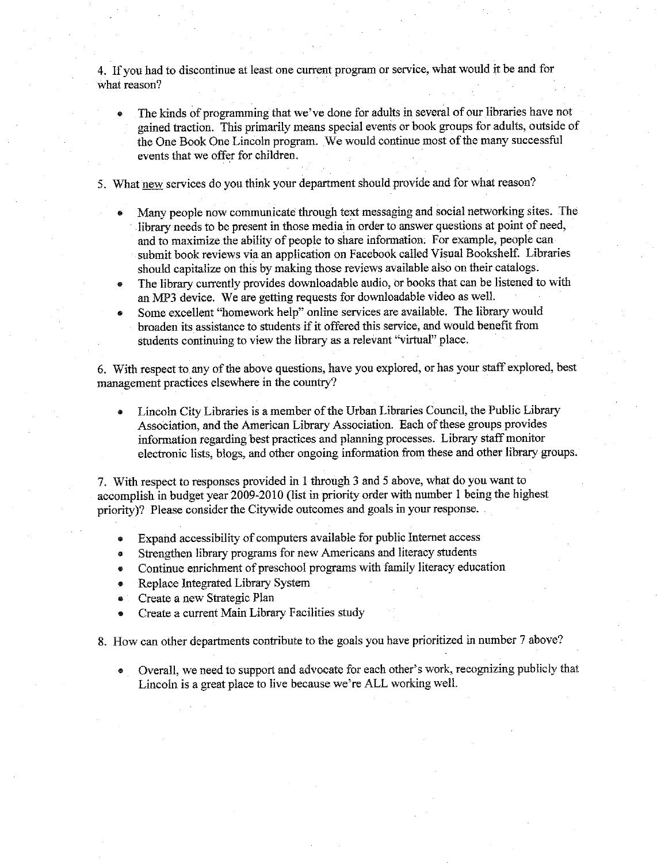4. If you had to discontinue at least one current program or service, what would it be and for what reason?

- The kinds of programming that we've done for adults in several of our libraries have not gained traction. This primarily means special events or book groups for adults, outside of the One Book One Lincoln program. We would continue most of the many successful events that we offer for children.
- 5. What new services do you think your department should provide and for what reason?
	- Many people now communicate through text messaging and social networking sites. The library needs to be present in those media in order to answer questions at point of need, and to maximize the ability of people to share information. For example, people can submit book reviews via an application on Facebook called Visual Bookshelf. Libraries should capitalize on this by making those reviews available also on their catalogs.
	- The library currently provides downloadable audio, or books that can be listened to with  $\bullet$ an MP3 device. We are getting requests for downloadable video as well.
	- Some excellent "homework help" online services are available. The library would broaden its assistance to students if it offered this service, and would benefit from students continuing to view the library as a relevant "virtual" place.

6. With respect to any of the above questions, have you explored, or has your staff explored, best management practices elsewhere in the country?

Lincoln City Libraries is a member of the Urban Libraries Council, the Public Library Association, and the American Library Association. Each of these groups provides information regarding best practices and planning processes. Library staff monitor electronic lists, blogs, and other ongoing information from these and other library groups.

7. With respect to responses provided in 1 through 3 and 5 above, what do you want to accomplish in budget year 2009-2010 (list in priority order with number 1 being the highest priority? Please consider the Citywide outcomes and goals in your response.

- Expand accessibility of computers available for public Internet access  $\bullet$
- Strengthen library programs for new Americans and literacy students  $\ddot{\bullet}$
- Continue enrichment of preschool programs with family literacy education  $\mathbf{a}$
- Replace Integrated Library System  $\bullet$
- Create a new Strategic Plan e
- Create a current Main Library Facilities study

8. How can other departments contribute to the goals you have prioritized in number 7 above?

Overall, we need to support and advocate for each other's work, recognizing publicly that Lincoln is a great place to live because we're ALL working well.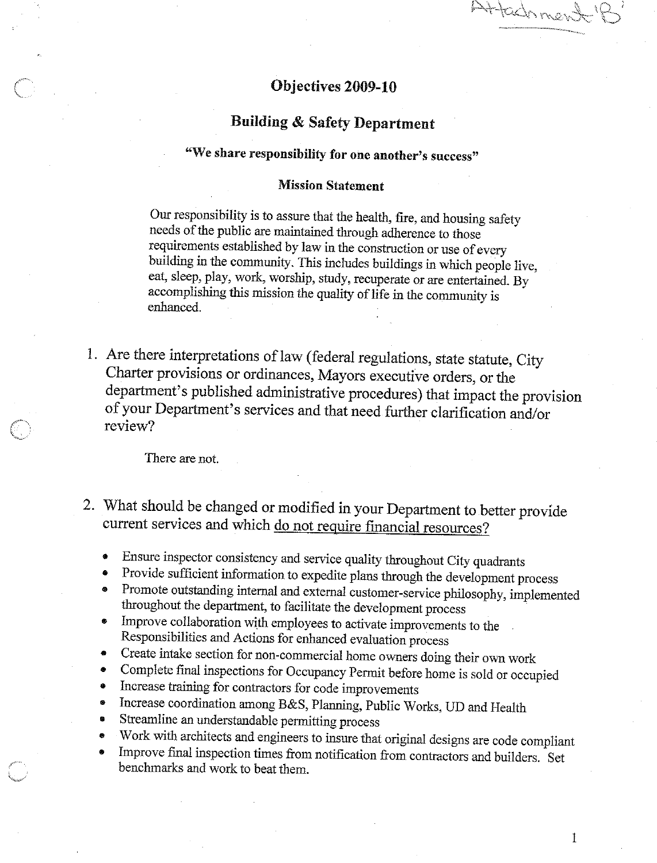Attachmen

### Objectives 2009-10

# **Building & Safety Department**

# "We share responsibility for one another's success"

#### **Mission Statement**

Our responsibility is to assure that the health, fire, and housing safety needs of the public are maintained through adherence to those requirements established by law in the construction or use of every building in the community. This includes buildings in which people live, eat, sleep, play, work, worship, study, recuperate or are entertained. By accomplishing this mission the quality of life in the community is enhanced.

1. Are there interpretations of law (federal regulations, state statute, City Charter provisions or ordinances, Mayors executive orders, or the department's published administrative procedures) that impact the provision of your Department's services and that need further clarification and/or review?

There are not.

- 2. What should be changed or modified in your Department to better provide current services and which do not require financial resources?
	- Ensure inspector consistency and service quality throughout City quadrants
	- Provide sufficient information to expedite plans through the development process  $\bullet$
	- Promote outstanding internal and external customer-service philosophy, implemented throughout the department, to facilitate the development process
	- Improve collaboration with employees to activate improvements to the  $\bullet$ Responsibilities and Actions for enhanced evaluation process
	- Create intake section for non-commercial home owners doing their own work  $\bullet$
	- Complete final inspections for Occupancy Permit before home is sold or occupied  $\qquad \qquad \bullet$
	- Increase training for contractors for code improvements  $\bullet$
	- Increase coordination among B&S, Planning, Public Works, UD and Health  $\bullet$
	- Streamline an understandable permitting process  $\bullet$
	- Work with architects and engineers to insure that original designs are code compliant
	- Improve final inspection times from notification from contractors and builders. Set benchmarks and work to beat them.

 $\bf{l}$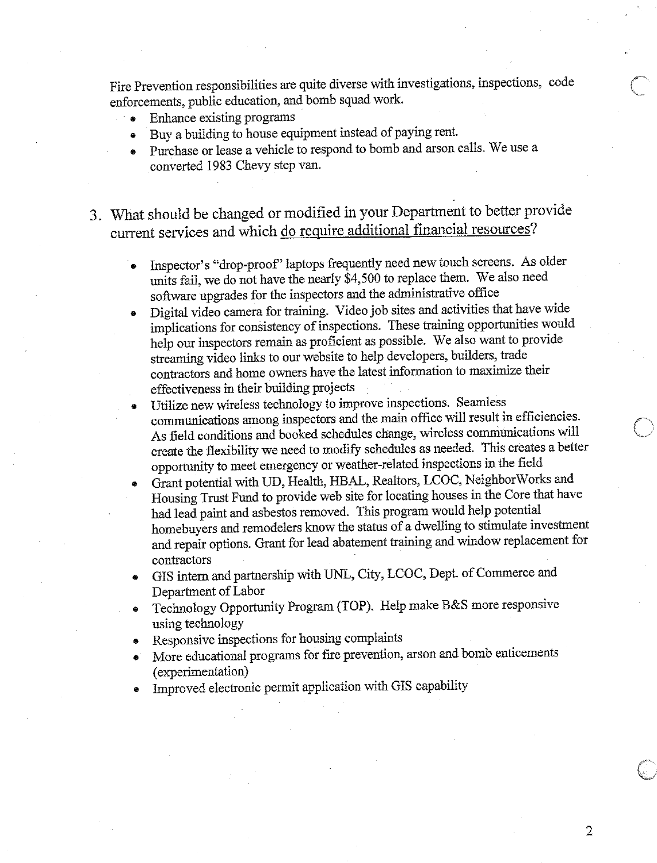Fire Prevention responsibilities are quite diverse with investigations, inspections, code enforcements, public education, and bomb squad work.

- Enhance existing programs
- Buy a building to house equipment instead of paying rent.
- Purchase or lease a vehicle to respond to bomb and arson calls. We use a converted 1983 Chevy step van.
- 3. What should be changed or modified in your Department to better provide current services and which do require additional financial resources?
	- Inspector's "drop-proof" laptops frequently need new touch screens. As older units fail, we do not have the nearly \$4,500 to replace them. We also need software upgrades for the inspectors and the administrative office
	- Digital video camera for training. Video job sites and activities that have wide implications for consistency of inspections. These training opportunities would help our inspectors remain as proficient as possible. We also want to provide streaming video links to our website to help developers, builders, trade contractors and home owners have the latest information to maximize their effectiveness in their building projects
	- Utilize new wireless technology to improve inspections. Seamless communications among inspectors and the main office will result in efficiencies. As field conditions and booked schedules change, wireless communications will create the flexibility we need to modify schedules as needed. This creates a better opportunity to meet emergency or weather-related inspections in the field
	- Grant potential with UD, Health, HBAL, Realtors, LCOC, NeighborWorks and Housing Trust Fund to provide web site for locating houses in the Core that have had lead paint and asbestos removed. This program would help potential homebuyers and remodelers know the status of a dwelling to stimulate investment and repair options. Grant for lead abatement training and window replacement for contractors
	- GIS intern and partnership with UNL, City, LCOC, Dept. of Commerce and Department of Labor
	- Technology Opportunity Program (TOP). Help make B&S more responsive using technology
	- Responsive inspections for housing complaints
	- More educational programs for fire prevention, arson and bomb enticements (experimentation)
	- Improved electronic permit application with GIS capability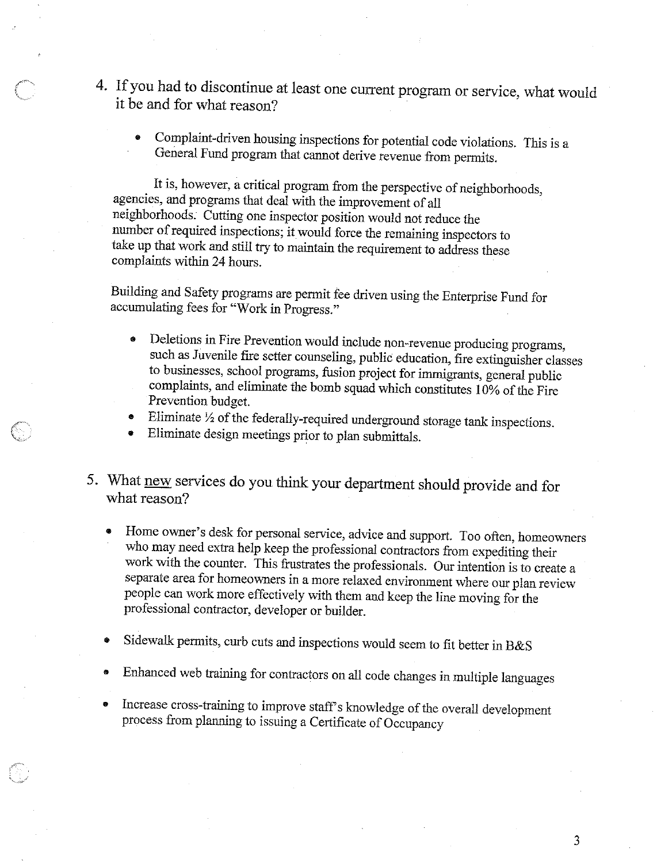- 4. If you had to discontinue at least one current program or service, what would it be and for what reason?
	- Complaint-driven housing inspections for potential code violations. This is a General Fund program that cannot derive revenue from permits.

It is, however, a critical program from the perspective of neighborhoods, agencies, and programs that deal with the improvement of all neighborhoods. Cutting one inspector position would not reduce the number of required inspections; it would force the remaining inspectors to take up that work and still try to maintain the requirement to address these complaints within 24 hours.

Building and Safety programs are permit fee driven using the Enterprise Fund for accumulating fees for "Work in Progress."

- Deletions in Fire Prevention would include non-revenue producing programs, such as Juvenile fire setter counseling, public education, fire extinguisher classes to businesses, school programs, fusion project for immigrants, general public complaints, and eliminate the bomb squad which constitutes 10% of the Fire Prevention budget.
- Eliminate 1/2 of the federally-required underground storage tank inspections.
- Eliminate design meetings prior to plan submittals.
- 5. What new services do you think your department should provide and for what reason?
	- Home owner's desk for personal service, advice and support. Too often, homeowners who may need extra help keep the professional contractors from expediting their work with the counter. This frustrates the professionals. Our intention is to create a separate area for homeowners in a more relaxed environment where our plan review people can work more effectively with them and keep the line moving for the professional contractor, developer or builder.
	- Sidewalk permits, curb cuts and inspections would seem to fit better in B&S
	- Enhanced web training for contractors on all code changes in multiple languages
	- Increase cross-training to improve staff's knowledge of the overall development process from planning to issuing a Certificate of Occupancy

3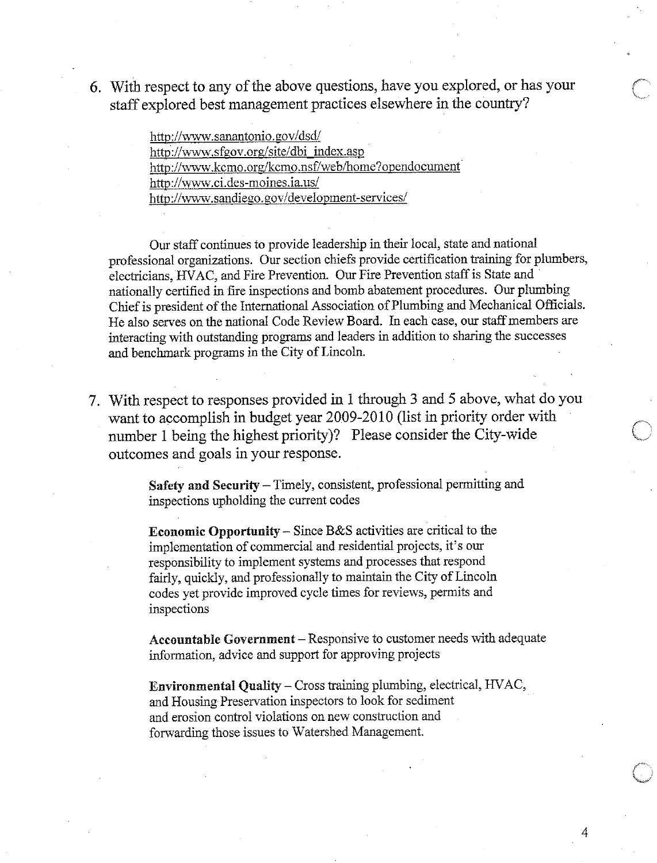6. With respect to any of the above questions, have you explored, or has your staff explored best management practices elsewhere in the country?

> http://www.sanantonio.gov/dsd/ http://www.sfgov.org/site/dbi index.asp http://www.kcmo.org/kcmo.nsf/web/home?opendocument http://www.ci.des-moines.ia.us/ http://www.sandiego.gov/development-services/

Our staff continues to provide leadership in their local, state and national professional organizations. Our section chiefs provide certification training for plumbers, electricians, HVAC, and Fire Prevention. Our Fire Prevention staff is State and nationally certified in fire inspections and bomb abatement procedures. Our plumbing Chief is president of the International Association of Plumbing and Mechanical Officials. He also serves on the national Code Review Board. In each case, our staff members are interacting with outstanding programs and leaders in addition to sharing the successes and benchmark programs in the City of Lincoln.

7. With respect to responses provided in 1 through 3 and 5 above, what do you want to accomplish in budget year 2009-2010 (list in priority order with number 1 being the highest priority)? Please consider the City-wide outcomes and goals in your response.

> Safety and Security – Timely, consistent, professional permitting and inspections upholding the current codes

**Economic Opportunity** – Since  $B\&S$  activities are critical to the implementation of commercial and residential projects, it's our responsibility to implement systems and processes that respond fairly, quickly, and professionally to maintain the City of Lincoln codes yet provide improved cycle times for reviews, permits and inspections

Accountable Government - Responsive to customer needs with adequate information, advice and support for approving projects

**Environmental Quality – Cross training plumbing, electrical, HVAC,** and Housing Preservation inspectors to look for sediment and erosion control violations on new construction and forwarding those issues to Watershed Management.

4